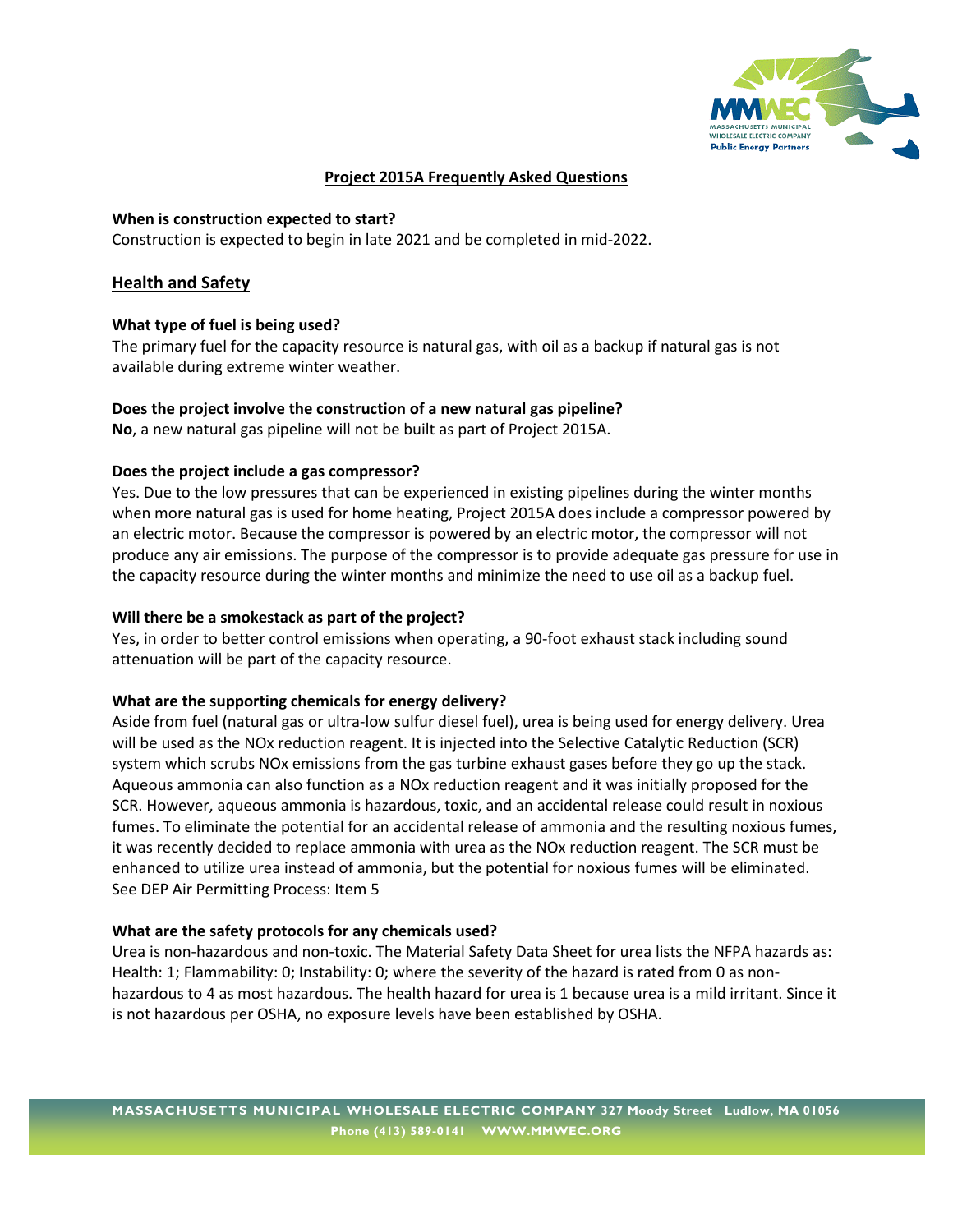

# **Project 2015A Frequently Asked Questions**

# **When is construction expected to start?**

Construction is expected to begin in late 2021 and be completed in mid-2022.

# **Health and Safety**

# **What type of fuel is being used?**

The primary fuel for the capacity resource is natural gas, with oil as a backup if natural gas is not available during extreme winter weather.

# **Does the project involve the construction of a new natural gas pipeline?**

**No**, a new natural gas pipeline will not be built as part of Project 2015A.

# **Does the project include a gas compressor?**

Yes. Due to the low pressures that can be experienced in existing pipelines during the winter months when more natural gas is used for home heating, Project 2015A does include a compressor powered by an electric motor. Because the compressor is powered by an electric motor, the compressor will not produce any air emissions. The purpose of the compressor is to provide adequate gas pressure for use in the capacity resource during the winter months and minimize the need to use oil as a backup fuel.

# **Will there be a smokestack as part of the project?**

Yes, in order to better control emissions when operating, a 90-foot exhaust stack including sound attenuation will be part of the capacity resource.

# **What are the supporting chemicals for energy delivery?**

Aside from fuel (natural gas or ultra-low sulfur diesel fuel), urea is being used for energy delivery. Urea will be used as the NOx reduction reagent. It is injected into the Selective Catalytic Reduction (SCR) system which scrubs NOx emissions from the gas turbine exhaust gases before they go up the stack. Aqueous ammonia can also function as a NOx reduction reagent and it was initially proposed for the SCR. However, aqueous ammonia is hazardous, toxic, and an accidental release could result in noxious fumes. To eliminate the potential for an accidental release of ammonia and the resulting noxious fumes, it was recently decided to replace ammonia with urea as the NOx reduction reagent. The SCR must be enhanced to utilize urea instead of ammonia, but the potential for noxious fumes will be eliminated. See DEP Air Permitting Process: Item 5

#### **What are the safety protocols for any chemicals used?**

Urea is non-hazardous and non-toxic. The Material Safety Data Sheet for urea lists the NFPA hazards as: Health: 1; Flammability: 0; Instability: 0; where the severity of the hazard is rated from 0 as nonhazardous to 4 as most hazardous. The health hazard for urea is 1 because urea is a mild irritant. Since it is not hazardous per OSHA, no exposure levels have been established by OSHA.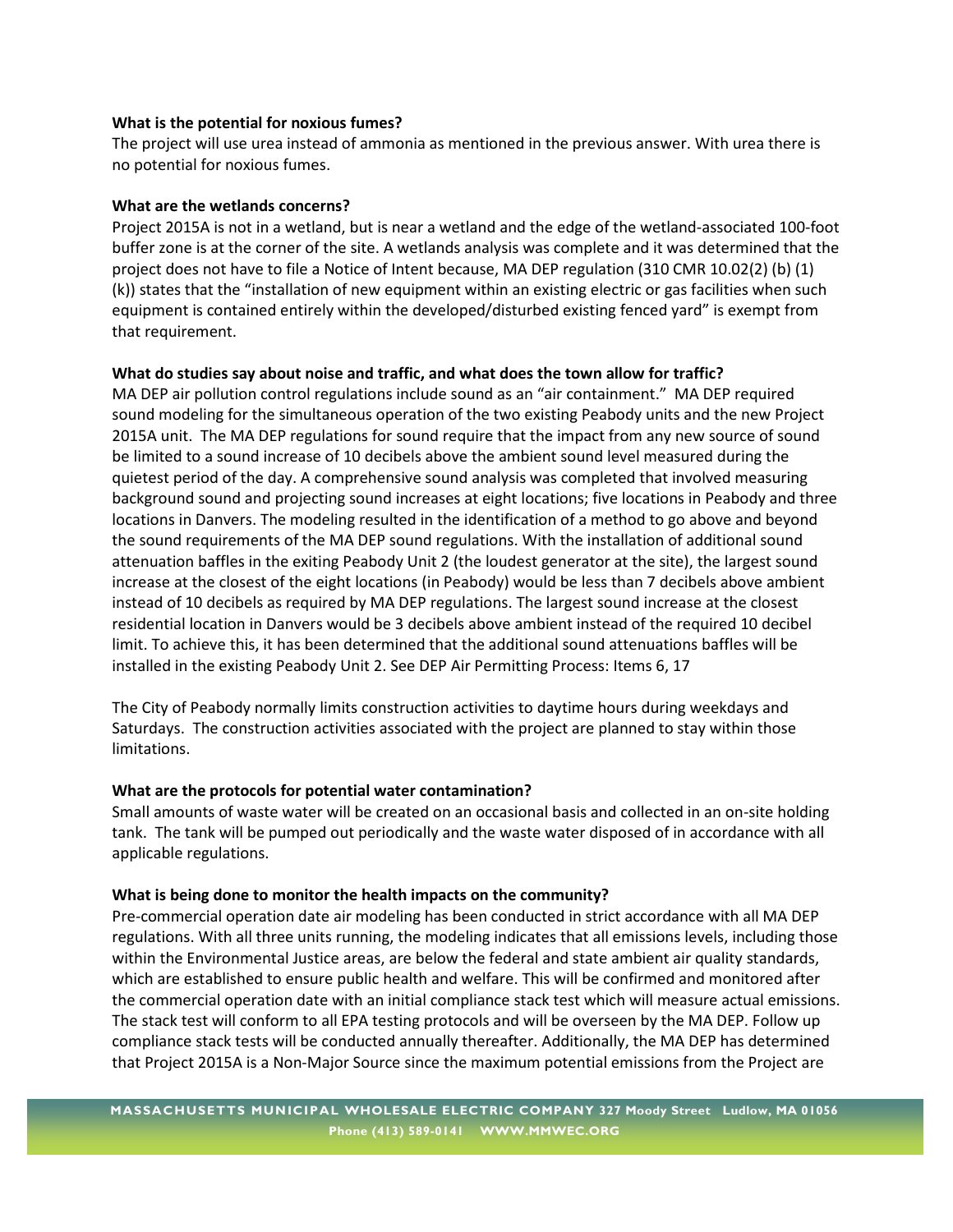#### **What is the potential for noxious fumes?**

The project will use urea instead of ammonia as mentioned in the previous answer. With urea there is no potential for noxious fumes.

#### **What are the wetlands concerns?**

Project 2015A is not in a wetland, but is near a wetland and the edge of the wetland-associated 100-foot buffer zone is at the corner of the site. A wetlands analysis was complete and it was determined that the project does not have to file a Notice of Intent because, MA DEP regulation (310 CMR 10.02(2) (b) (1) (k)) states that the "installation of new equipment within an existing electric or gas facilities when such equipment is contained entirely within the developed/disturbed existing fenced yard" is exempt from that requirement.

#### **What do studies say about noise and traffic, and what does the town allow for traffic?**

MA DEP air pollution control regulations include sound as an "air containment." MA DEP required sound modeling for the simultaneous operation of the two existing Peabody units and the new Project 2015A unit. The MA DEP regulations for sound require that the impact from any new source of sound be limited to a sound increase of 10 decibels above the ambient sound level measured during the quietest period of the day. A comprehensive sound analysis was completed that involved measuring background sound and projecting sound increases at eight locations; five locations in Peabody and three locations in Danvers. The modeling resulted in the identification of a method to go above and beyond the sound requirements of the MA DEP sound regulations. With the installation of additional sound attenuation baffles in the exiting Peabody Unit 2 (the loudest generator at the site), the largest sound increase at the closest of the eight locations (in Peabody) would be less than 7 decibels above ambient instead of 10 decibels as required by MA DEP regulations. The largest sound increase at the closest residential location in Danvers would be 3 decibels above ambient instead of the required 10 decibel limit. To achieve this, it has been determined that the additional sound attenuations baffles will be installed in the existing Peabody Unit 2. See DEP Air Permitting Process: Items 6, 17

The City of Peabody normally limits construction activities to daytime hours during weekdays and Saturdays. The construction activities associated with the project are planned to stay within those limitations.

#### **What are the protocols for potential water contamination?**

Small amounts of waste water will be created on an occasional basis and collected in an on-site holding tank. The tank will be pumped out periodically and the waste water disposed of in accordance with all applicable regulations.

#### **What is being done to monitor the health impacts on the community?**

Pre-commercial operation date air modeling has been conducted in strict accordance with all MA DEP regulations. With all three units running, the modeling indicates that all emissions levels, including those within the Environmental Justice areas, are below the federal and state ambient air quality standards, which are established to ensure public health and welfare. This will be confirmed and monitored after the commercial operation date with an initial compliance stack test which will measure actual emissions. The stack test will conform to all EPA testing protocols and will be overseen by the MA DEP. Follow up compliance stack tests will be conducted annually thereafter. Additionally, the MA DEP has determined that Project 2015A is a Non-Major Source since the maximum potential emissions from the Project are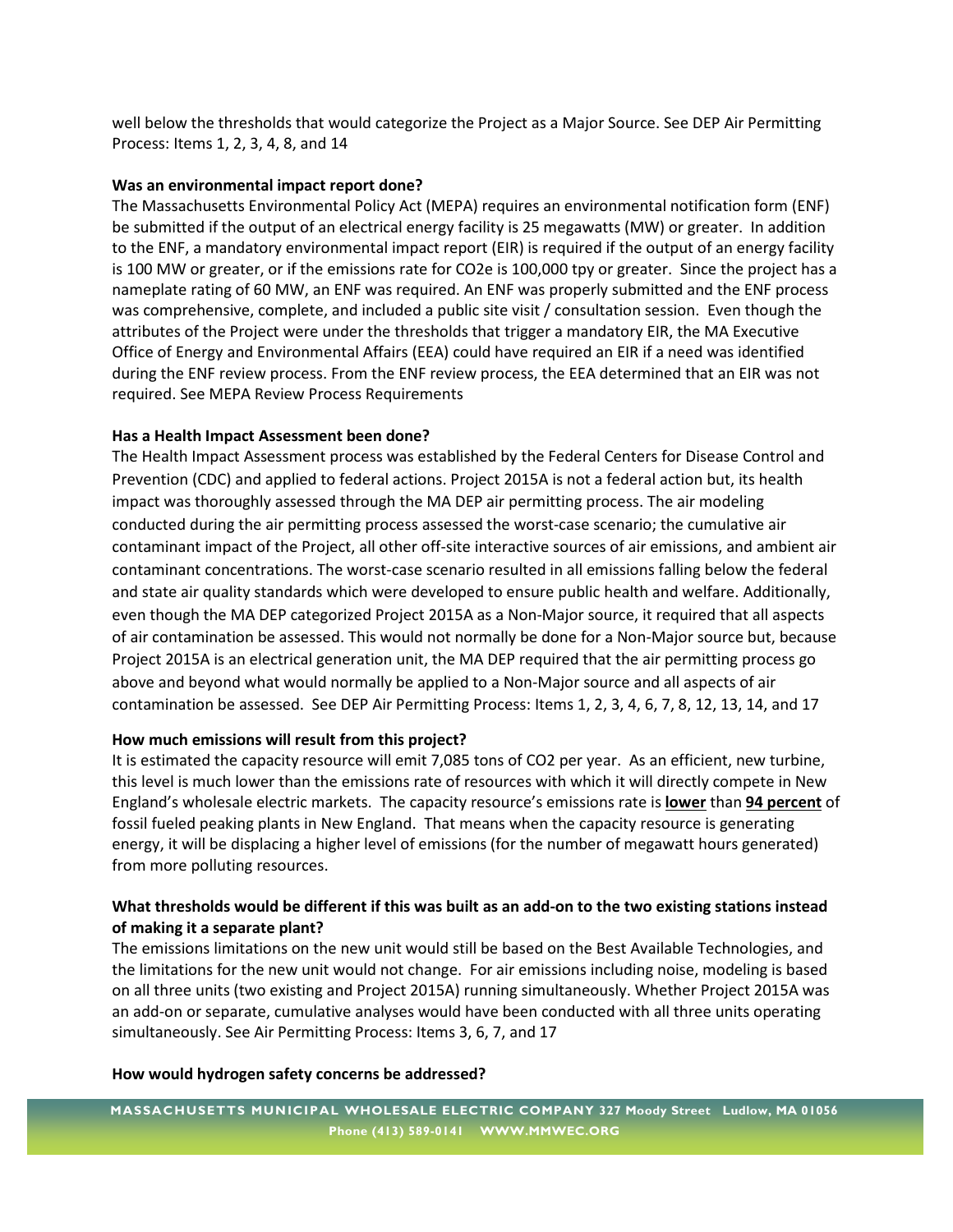well below the thresholds that would categorize the Project as a Major Source. See DEP Air Permitting Process: Items 1, 2, 3, 4, 8, and 14

#### **Was an environmental impact report done?**

The Massachusetts Environmental Policy Act (MEPA) requires an environmental notification form (ENF) be submitted if the output of an electrical energy facility is 25 megawatts (MW) or greater. In addition to the ENF, a mandatory environmental impact report (EIR) is required if the output of an energy facility is 100 MW or greater, or if the emissions rate for CO2e is 100,000 tpy or greater. Since the project has a nameplate rating of 60 MW, an ENF was required. An ENF was properly submitted and the ENF process was comprehensive, complete, and included a public site visit / consultation session. Even though the attributes of the Project were under the thresholds that trigger a mandatory EIR, the MA Executive Office of Energy and Environmental Affairs (EEA) could have required an EIR if a need was identified during the ENF review process. From the ENF review process, the EEA determined that an EIR was not required. See MEPA Review Process Requirements

# **Has a Health Impact Assessment been done?**

The Health Impact Assessment process was established by the Federal Centers for Disease Control and Prevention (CDC) and applied to federal actions. Project 2015A is not a federal action but, its health impact was thoroughly assessed through the MA DEP air permitting process. The air modeling conducted during the air permitting process assessed the worst-case scenario; the cumulative air contaminant impact of the Project, all other off-site interactive sources of air emissions, and ambient air contaminant concentrations. The worst-case scenario resulted in all emissions falling below the federal and state air quality standards which were developed to ensure public health and welfare. Additionally, even though the MA DEP categorized Project 2015A as a Non-Major source, it required that all aspects of air contamination be assessed. This would not normally be done for a Non-Major source but, because Project 2015A is an electrical generation unit, the MA DEP required that the air permitting process go above and beyond what would normally be applied to a Non-Major source and all aspects of air contamination be assessed. See DEP Air Permitting Process: Items 1, 2, 3, 4, 6, 7, 8, 12, 13, 14, and 17

# **How much emissions will result from this project?**

It is estimated the capacity resource will emit 7,085 tons of CO2 per year. As an efficient, new turbine, this level is much lower than the emissions rate of resources with which it will directly compete in New England's wholesale electric markets. The capacity resource's emissions rate is **lower** than **94 percent** of fossil fueled peaking plants in New England. That means when the capacity resource is generating energy, it will be displacing a higher level of emissions (for the number of megawatt hours generated) from more polluting resources.

# **What thresholds would be different if this was built as an add-on to the two existing stations instead of making it a separate plant?**

The emissions limitations on the new unit would still be based on the Best Available Technologies, and the limitations for the new unit would not change. For air emissions including noise, modeling is based on all three units (two existing and Project 2015A) running simultaneously. Whether Project 2015A was an add-on or separate, cumulative analyses would have been conducted with all three units operating simultaneously. See Air Permitting Process: Items 3, 6, 7, and 17

#### **How would hydrogen safety concerns be addressed?**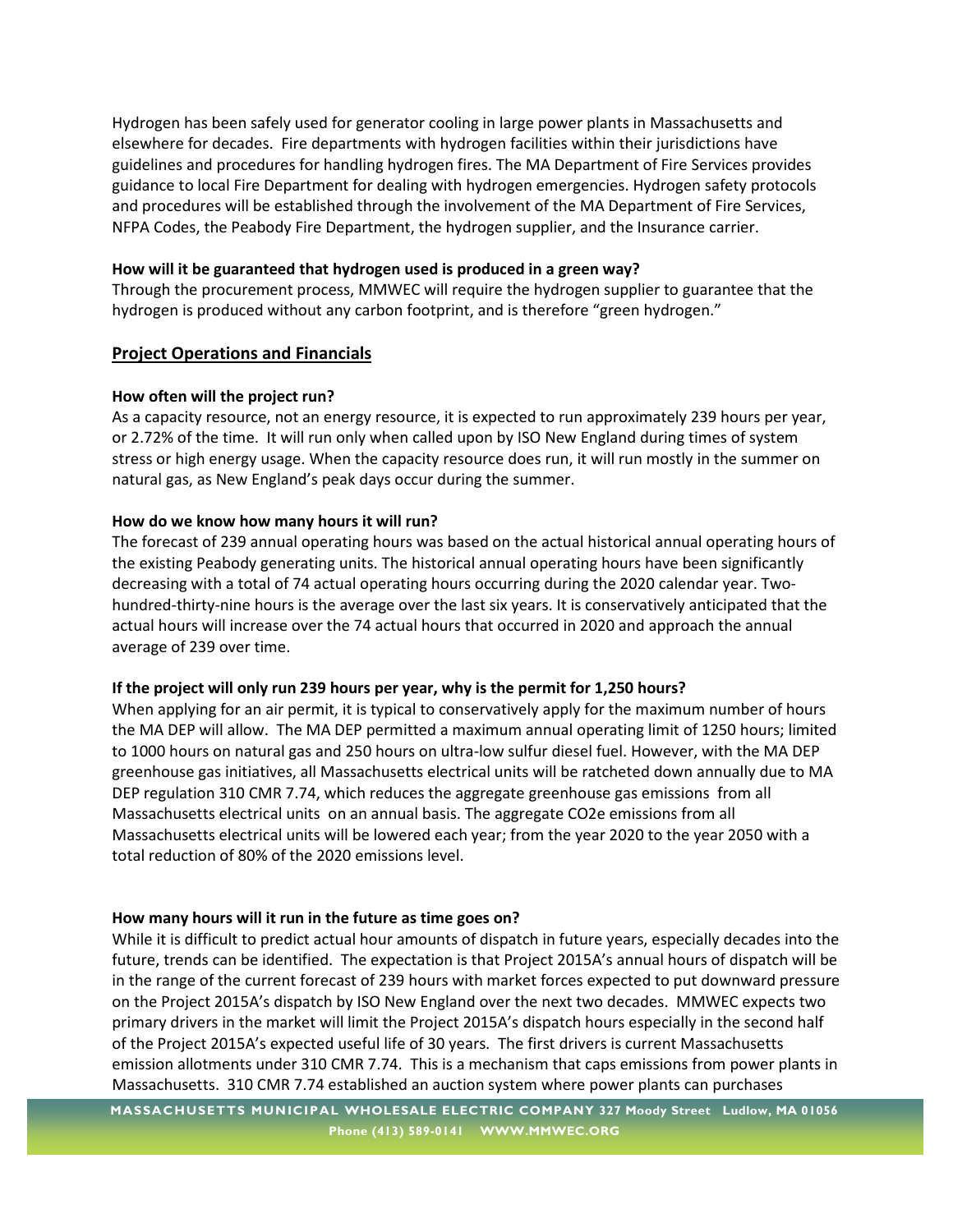Hydrogen has been safely used for generator cooling in large power plants in Massachusetts and elsewhere for decades. Fire departments with hydrogen facilities within their jurisdictions have guidelines and procedures for handling hydrogen fires. The MA Department of Fire Services provides guidance to local Fire Department for dealing with hydrogen emergencies. Hydrogen safety protocols and procedures will be established through the involvement of the MA Department of Fire Services, NFPA Codes, the Peabody Fire Department, the hydrogen supplier, and the Insurance carrier.

# **How will it be guaranteed that hydrogen used is produced in a green way?**

Through the procurement process, MMWEC will require the hydrogen supplier to guarantee that the hydrogen is produced without any carbon footprint, and is therefore "green hydrogen."

# **Project Operations and Financials**

# **How often will the project run?**

As a capacity resource, not an energy resource, it is expected to run approximately 239 hours per year, or 2.72% of the time. It will run only when called upon by ISO New England during times of system stress or high energy usage. When the capacity resource does run, it will run mostly in the summer on natural gas, as New England's peak days occur during the summer.

# **How do we know how many hours it will run?**

The forecast of 239 annual operating hours was based on the actual historical annual operating hours of the existing Peabody generating units. The historical annual operating hours have been significantly decreasing with a total of 74 actual operating hours occurring during the 2020 calendar year. Twohundred-thirty-nine hours is the average over the last six years. It is conservatively anticipated that the actual hours will increase over the 74 actual hours that occurred in 2020 and approach the annual average of 239 over time.

# **If the project will only run 239 hours per year, why is the permit for 1,250 hours?**

When applying for an air permit, it is typical to conservatively apply for the maximum number of hours the MA DEP will allow. The MA DEP permitted a maximum annual operating limit of 1250 hours; limited to 1000 hours on natural gas and 250 hours on ultra-low sulfur diesel fuel. However, with the MA DEP greenhouse gas initiatives, all Massachusetts electrical units will be ratcheted down annually due to MA DEP regulation 310 CMR 7.74, which reduces the aggregate greenhouse gas emissions from all Massachusetts electrical units on an annual basis. The aggregate CO2e emissions from all Massachusetts electrical units will be lowered each year; from the year 2020 to the year 2050 with a total reduction of 80% of the 2020 emissions level.

# **How many hours will it run in the future as time goes on?**

While it is difficult to predict actual hour amounts of dispatch in future years, especially decades into the future, trends can be identified. The expectation is that Project 2015A's annual hours of dispatch will be in the range of the current forecast of 239 hours with market forces expected to put downward pressure on the Project 2015A's dispatch by ISO New England over the next two decades. MMWEC expects two primary drivers in the market will limit the Project 2015A's dispatch hours especially in the second half of the Project 2015A's expected useful life of 30 years. The first drivers is current Massachusetts emission allotments under 310 CMR 7.74. This is a mechanism that caps emissions from power plants in Massachusetts. 310 CMR 7.74 established an auction system where power plants can purchases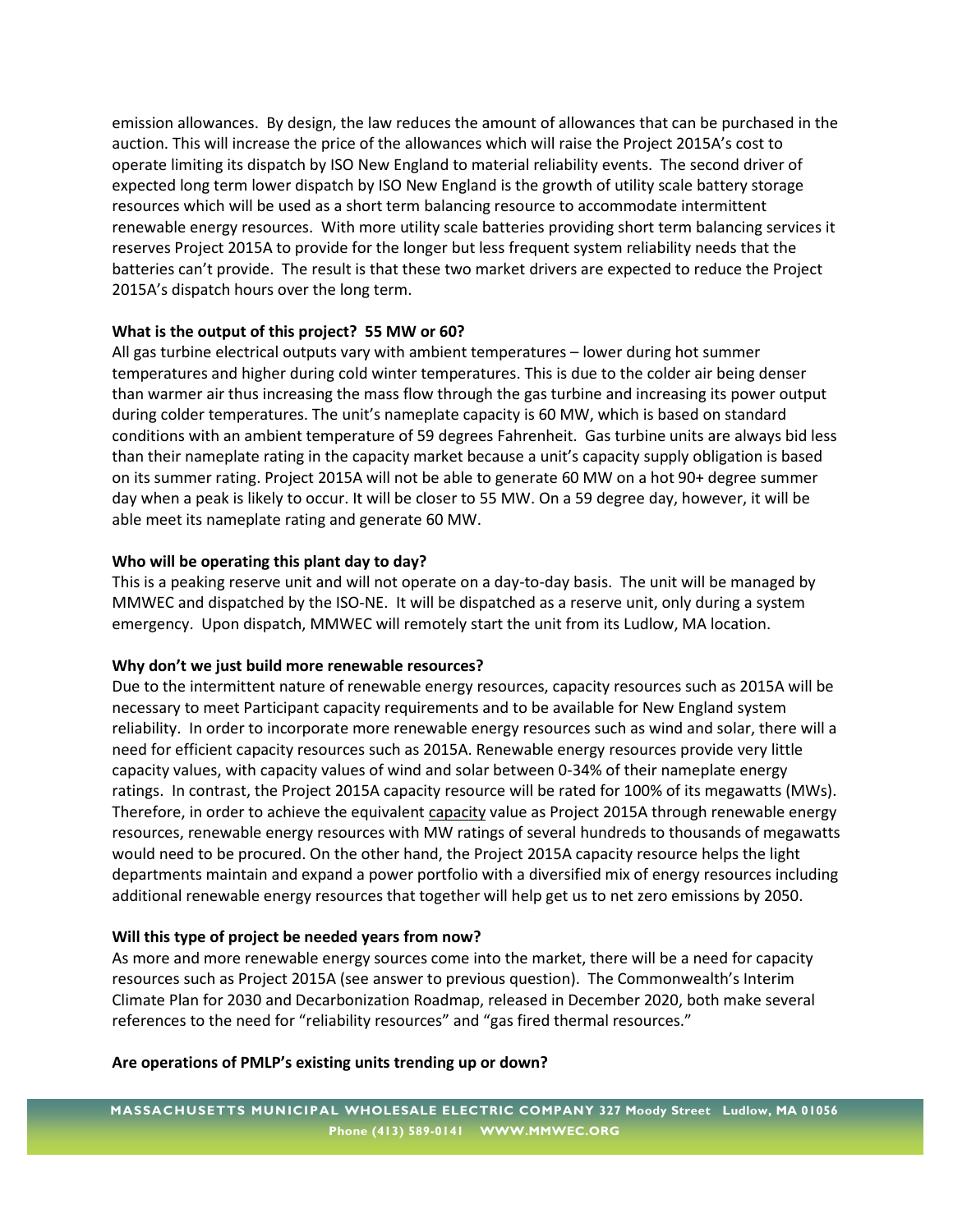emission allowances. By design, the law reduces the amount of allowances that can be purchased in the auction. This will increase the price of the allowances which will raise the Project 2015A's cost to operate limiting its dispatch by ISO New England to material reliability events. The second driver of expected long term lower dispatch by ISO New England is the growth of utility scale battery storage resources which will be used as a short term balancing resource to accommodate intermittent renewable energy resources. With more utility scale batteries providing short term balancing services it reserves Project 2015A to provide for the longer but less frequent system reliability needs that the batteries can't provide. The result is that these two market drivers are expected to reduce the Project 2015A's dispatch hours over the long term.

# **What is the output of this project? 55 MW or 60?**

All gas turbine electrical outputs vary with ambient temperatures – lower during hot summer temperatures and higher during cold winter temperatures. This is due to the colder air being denser than warmer air thus increasing the mass flow through the gas turbine and increasing its power output during colder temperatures. The unit's nameplate capacity is 60 MW, which is based on standard conditions with an ambient temperature of 59 degrees Fahrenheit. Gas turbine units are always bid less than their nameplate rating in the capacity market because a unit's capacity supply obligation is based on its summer rating. Project 2015A will not be able to generate 60 MW on a hot 90+ degree summer day when a peak is likely to occur. It will be closer to 55 MW. On a 59 degree day, however, it will be able meet its nameplate rating and generate 60 MW.

# **Who will be operating this plant day to day?**

This is a peaking reserve unit and will not operate on a day-to-day basis. The unit will be managed by MMWEC and dispatched by the ISO-NE. It will be dispatched as a reserve unit, only during a system emergency. Upon dispatch, MMWEC will remotely start the unit from its Ludlow, MA location.

#### **Why don't we just build more renewable resources?**

Due to the intermittent nature of renewable energy resources, capacity resources such as 2015A will be necessary to meet Participant capacity requirements and to be available for New England system reliability. In order to incorporate more renewable energy resources such as wind and solar, there will a need for efficient capacity resources such as 2015A. Renewable energy resources provide very little capacity values, with capacity values of wind and solar between 0-34% of their nameplate energy ratings. In contrast, the Project 2015A capacity resource will be rated for 100% of its megawatts (MWs). Therefore, in order to achieve the equivalent capacity value as Project 2015A through renewable energy resources, renewable energy resources with MW ratings of several hundreds to thousands of megawatts would need to be procured. On the other hand, the Project 2015A capacity resource helps the light departments maintain and expand a power portfolio with a diversified mix of energy resources including additional renewable energy resources that together will help get us to net zero emissions by 2050.

# **Will this type of project be needed years from now?**

As more and more renewable energy sources come into the market, there will be a need for capacity resources such as Project 2015A (see answer to previous question). The Commonwealth's Interim Climate Plan for 2030 and Decarbonization Roadmap, released in December 2020, both make several references to the need for "reliability resources" and "gas fired thermal resources."

#### **Are operations of PMLP's existing units trending up or down?**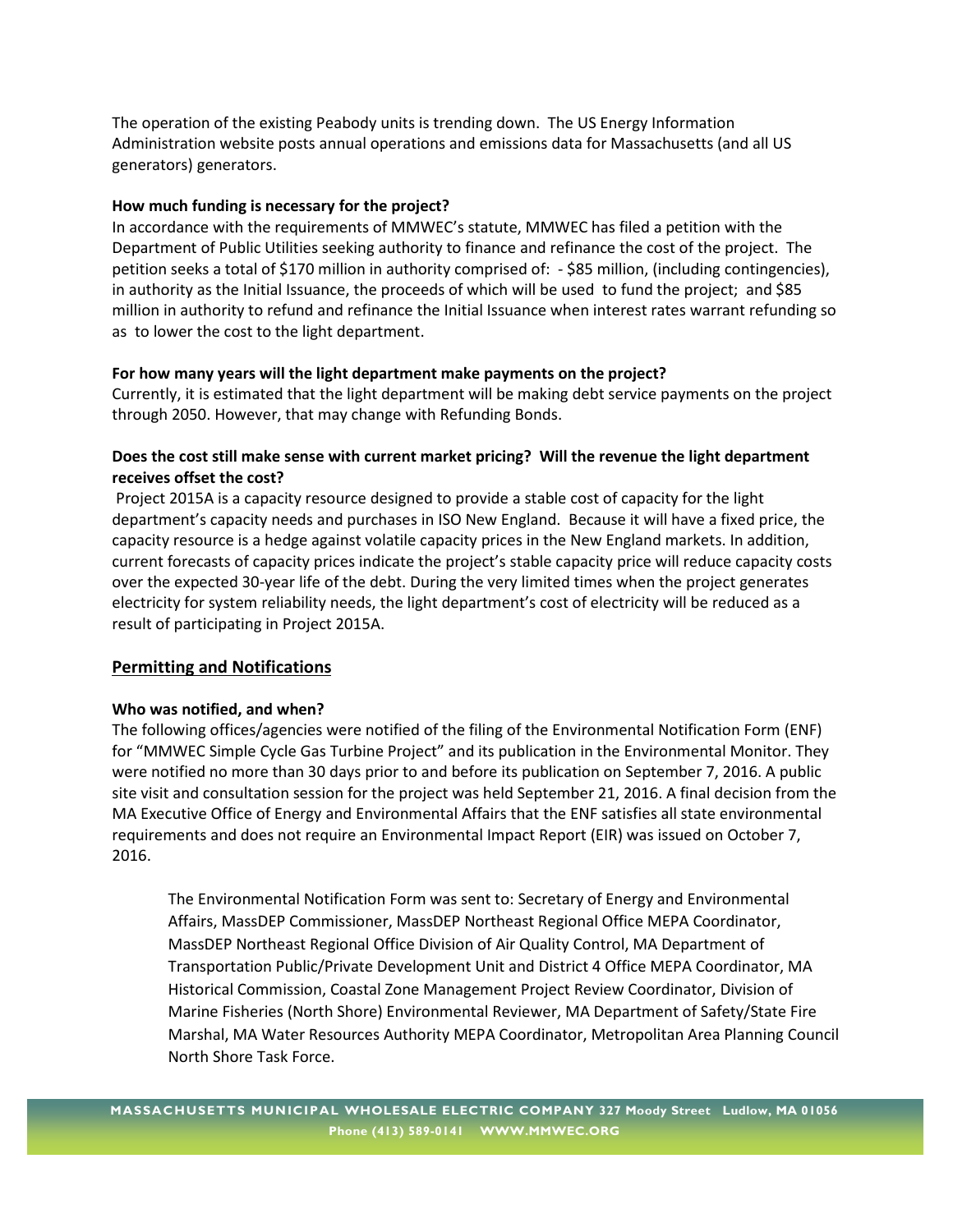The operation of the existing Peabody units is trending down. The US Energy Information Administration website posts annual operations and emissions data for Massachusetts (and all US generators) generators.

#### **How much funding is necessary for the project?**

In accordance with the requirements of MMWEC's statute, MMWEC has filed a petition with the Department of Public Utilities seeking authority to finance and refinance the cost of the project. The petition seeks a total of \$170 million in authority comprised of: - \$85 million, (including contingencies), in authority as the Initial Issuance, the proceeds of which will be used to fund the project; and \$85 million in authority to refund and refinance the Initial Issuance when interest rates warrant refunding so as to lower the cost to the light department.

#### **For how many years will the light department make payments on the project?**

Currently, it is estimated that the light department will be making debt service payments on the project through 2050. However, that may change with Refunding Bonds.

# **Does the cost still make sense with current market pricing? Will the revenue the light department receives offset the cost?**

Project 2015A is a capacity resource designed to provide a stable cost of capacity for the light department's capacity needs and purchases in ISO New England. Because it will have a fixed price, the capacity resource is a hedge against volatile capacity prices in the New England markets. In addition, current forecasts of capacity prices indicate the project's stable capacity price will reduce capacity costs over the expected 30-year life of the debt. During the very limited times when the project generates electricity for system reliability needs, the light department's cost of electricity will be reduced as a result of participating in Project 2015A.

#### **Permitting and Notifications**

#### **Who was notified, and when?**

The following offices/agencies were notified of the filing of the Environmental Notification Form (ENF) for "MMWEC Simple Cycle Gas Turbine Project" and its publication in the Environmental Monitor. They were notified no more than 30 days prior to and before its publication on September 7, 2016. A public site visit and consultation session for the project was held September 21, 2016. A final decision from the MA Executive Office of Energy and Environmental Affairs that the ENF satisfies all state environmental requirements and does not require an Environmental Impact Report (EIR) was issued on October 7, 2016.

The Environmental Notification Form was sent to: Secretary of Energy and Environmental Affairs, MassDEP Commissioner, MassDEP Northeast Regional Office MEPA Coordinator, MassDEP Northeast Regional Office Division of Air Quality Control, MA Department of Transportation Public/Private Development Unit and District 4 Office MEPA Coordinator, MA Historical Commission, Coastal Zone Management Project Review Coordinator, Division of Marine Fisheries (North Shore) Environmental Reviewer, MA Department of Safety/State Fire Marshal, MA Water Resources Authority MEPA Coordinator, Metropolitan Area Planning Council North Shore Task Force.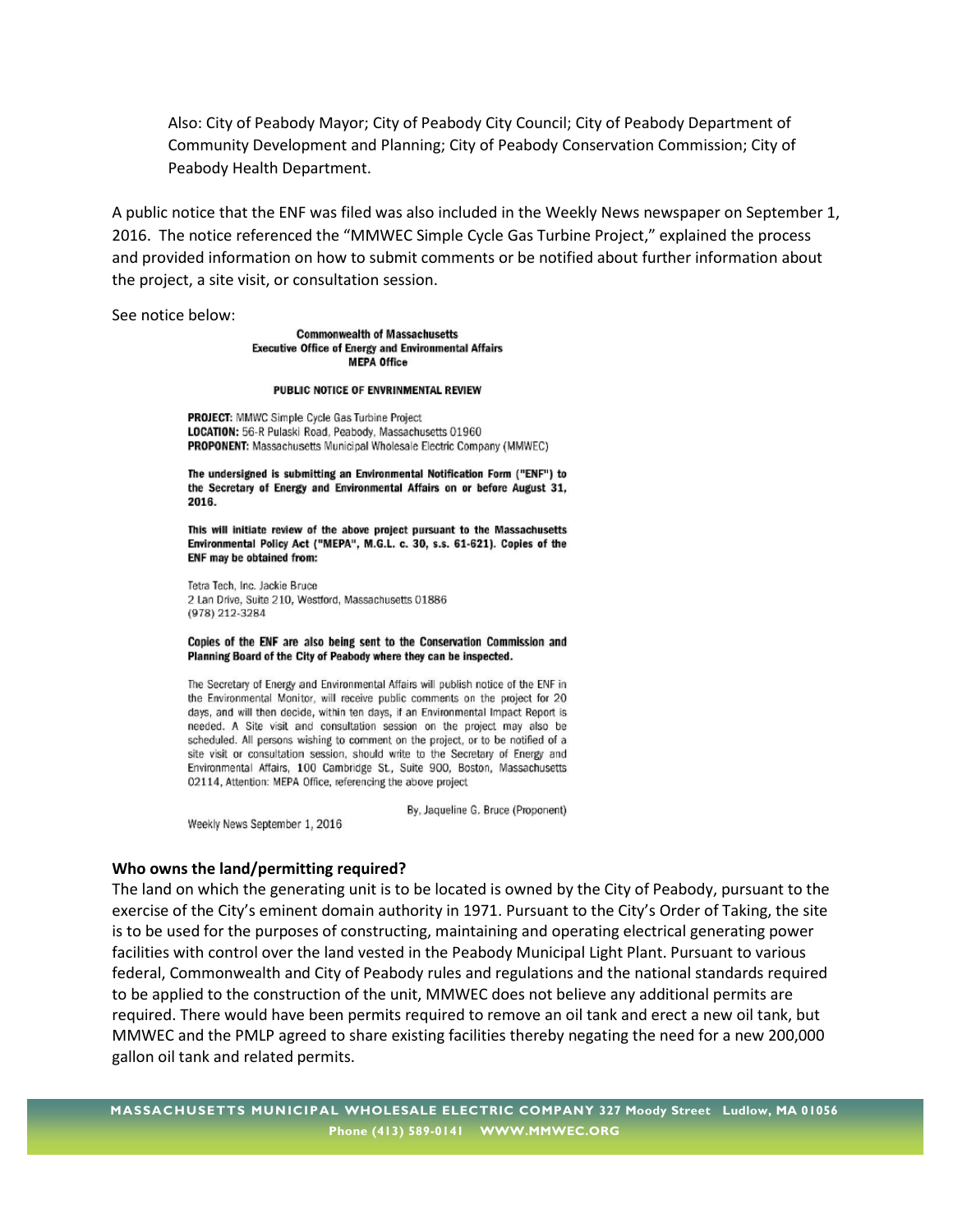Also: City of Peabody Mayor; City of Peabody City Council; City of Peabody Department of Community Development and Planning; City of Peabody Conservation Commission; City of Peabody Health Department.

A public notice that the ENF was filed was also included in the Weekly News newspaper on September 1, 2016. The notice referenced the "MMWEC Simple Cycle Gas Turbine Project," explained the process and provided information on how to submit comments or be notified about further information about the project, a site visit, or consultation session.

See notice below:

**Commonwealth of Massachusetts Executive Office of Energy and Environmental Affairs MEPA Office** 

#### PUBLIC NOTICE OF ENVRINMENTAL REVIEW

PROJECT: MMWC Simple Cycle Gas Turbine Project LOCATION: 56-R Pulaski Road, Peabody, Massachusetts 01960 PROPONENT: Massachusetts Municipal Wholesale Electric Company (MMWEC)

The undersigned is submitting an Environmental Notification Form ("ENF") to the Secretary of Energy and Environmental Affairs on or before August 31, 2016.

This will initiate review of the above project pursuant to the Massachusetts Environmental Policy Act ("MEPA", M.G.L. c. 30, s.s. 61-621). Copies of the ENF may be obtained from:

Tetra Tech, Inc. Jackie Bruce 2 Lan Drive, Suite 210, Westford, Massachusetts 01886 (978) 212-3284

#### Copies of the ENF are also being sent to the Conservation Commission and Planning Board of the City of Peabody where they can be inspected.

The Secretary of Energy and Environmental Affairs will publish notice of the ENF in the Environmental Monitor, will receive public comments on the project for 20 days, and will then decide, within ten days, if an Environmental Impact Report is needed. A Site visit and consultation session on the project may also be scheduled. All persons wishing to comment on the project, or to be notified of a site visit or consultation session, should write to the Secretary of Energy and Environmental Affairs, 100 Cambridge St., Suite 900, Boston, Massachusetts 02114, Attention: MEPA Office, referencing the above project

By, Jaqueline G. Bruce (Proponent)

Weekly News September 1, 2016

#### **Who owns the land/permitting required?**

The land on which the generating unit is to be located is owned by the City of Peabody, pursuant to the exercise of the City's eminent domain authority in 1971. Pursuant to the City's Order of Taking, the site is to be used for the purposes of constructing, maintaining and operating electrical generating power facilities with control over the land vested in the Peabody Municipal Light Plant. Pursuant to various federal, Commonwealth and City of Peabody rules and regulations and the national standards required to be applied to the construction of the unit, MMWEC does not believe any additional permits are required. There would have been permits required to remove an oil tank and erect a new oil tank, but MMWEC and the PMLP agreed to share existing facilities thereby negating the need for a new 200,000 gallon oil tank and related permits.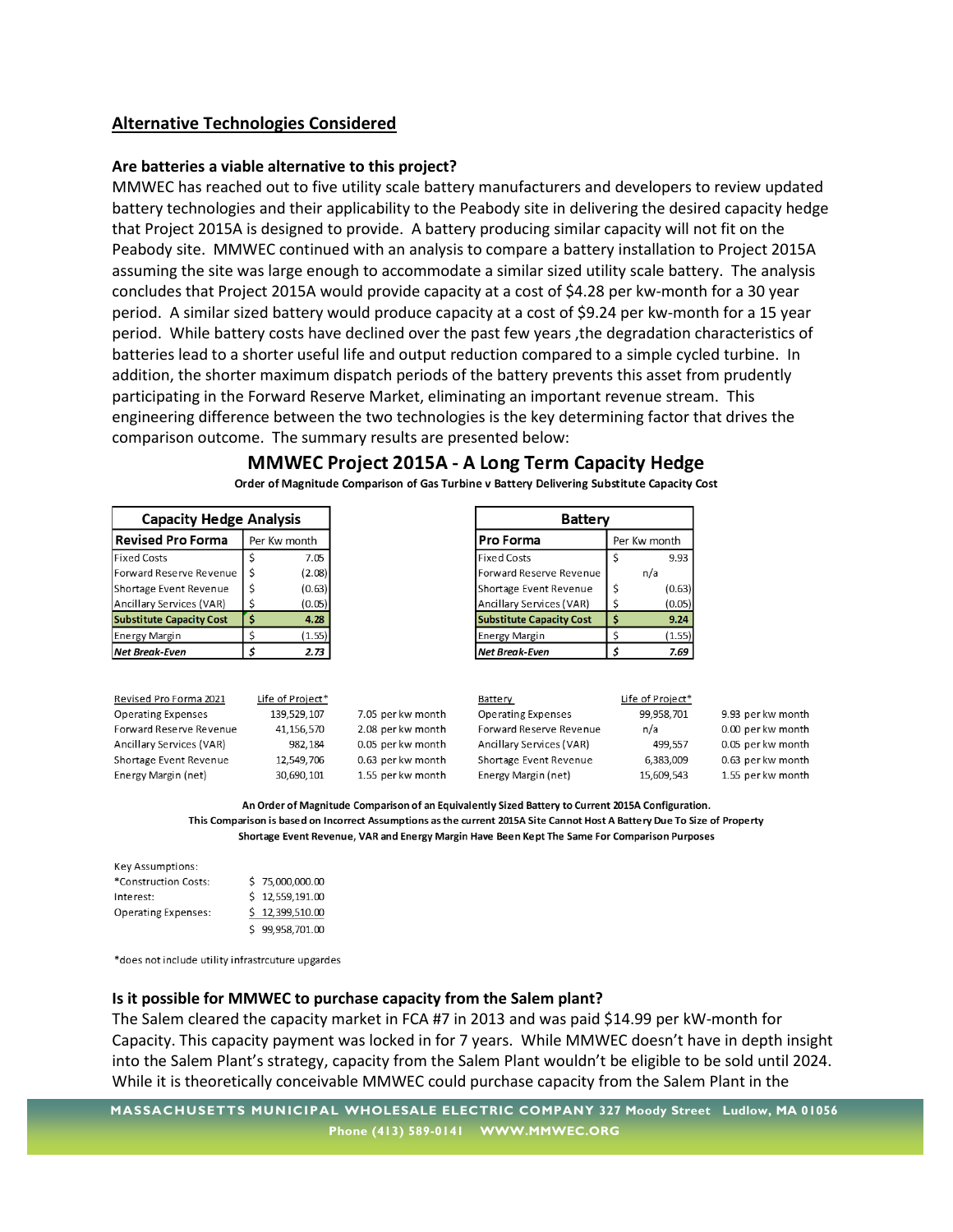# **Alternative Technologies Considered**

#### **Are batteries a viable alternative to this project?**

MMWEC has reached out to five utility scale battery manufacturers and developers to review updated battery technologies and their applicability to the Peabody site in delivering the desired capacity hedge that Project 2015A is designed to provide. A battery producing similar capacity will not fit on the Peabody site. MMWEC continued with an analysis to compare a battery installation to Project 2015A assuming the site was large enough to accommodate a similar sized utility scale battery. The analysis concludes that Project 2015A would provide capacity at a cost of \$4.28 per kw-month for a 30 year period. A similar sized battery would produce capacity at a cost of \$9.24 per kw-month for a 15 year period. While battery costs have declined over the past few years ,the degradation characteristics of batteries lead to a shorter useful life and output reduction compared to a simple cycled turbine. In addition, the shorter maximum dispatch periods of the battery prevents this asset from prudently participating in the Forward Reserve Market, eliminating an important revenue stream. This engineering difference between the two technologies is the key determining factor that drives the comparison outcome. The summary results are presented below:

| <b>Capacity Hedge Analysis</b>           |   |                  |                   | <b>Battery</b>                  |    |                  |                   |
|------------------------------------------|---|------------------|-------------------|---------------------------------|----|------------------|-------------------|
| <b>Revised Pro Forma</b><br>Per Kw month |   |                  |                   | Pro Forma                       |    | Per Kw month     |                   |
| <b>Fixed Costs</b>                       |   | 7.05             |                   | <b>Fixed Costs</b>              |    | 9.93             |                   |
| Forward Reserve Revenue                  | S | (2.08)           |                   | Forward Reserve Revenue         |    | n/a              |                   |
| Shortage Event Revenue                   |   | (0.63)           |                   | Shortage Event Revenue          | Ś  | (0.63)           |                   |
| Ancillary Services (VAR)                 |   | (0.05)           |                   | Ancillary Services (VAR)        | s  | (0.05)           |                   |
| <b>Substitute Capacity Cost</b>          |   | 4.28             |                   | <b>Substitute Capacity Cost</b> | s  | 9.24             |                   |
| <b>Energy Margin</b>                     |   | (1.55)           |                   | <b>Energy Margin</b>            |    | (1.55)           |                   |
| <b>Net Break-Even</b>                    |   | 2.73             |                   | <b>Net Break-Even</b>           | \$ | 7.69             |                   |
|                                          |   |                  |                   |                                 |    |                  |                   |
| Revised Pro Forma 2021                   |   | Life of Project* |                   | Battery                         |    | Life of Project* |                   |
| <b>Operating Expenses</b>                |   | 139.529.107      | 7.05 per kw month | <b>Operating Expenses</b>       |    | 99.958.701       | 9.93 per kw month |
| Forward Reserve Revenue                  |   | 41.156.570       | 2.08 per kw month | Forward Reserve Revenue         |    | n/a              | 0.00 per kw month |
| Ancillary Services (VAR)                 |   | 982,184          | 0.05 per kw month | Ancillary Services (VAR)        |    | 499,557          | 0.05 per kw month |
|                                          |   | $12.5$ $12.7$    |                   |                                 |    | 5.222.02         |                   |

# **MMWEC Project 2015A - A Long Term Capacity Hedge**

Shortage Event Revenue 0.63 per kw month 12,549,706 0.63 per kw month Shortage Event Revenue 6,383,009 Energy Margin (net) Energy Margin (net) 30.690.101 1.55 per kw month 15.609.543 1.55 per kw month

Order of Magnitude Comparison of Gas Turbine v Battery Delivering Substitute Capacity Cost  $\blacksquare$ 

An Order of Magnitude Comparison of an Equivalently Sized Battery to Current 2015A Configuration. This Comparison is based on Incorrect Assumptions as the current 2015A Site Cannot Host A Battery Due To Size of Property Shortage Event Revenue, VAR and Energy Margin Have Been Kept The Same For Comparison Purposes

| <b>Key Assumptions:</b>    |                 |
|----------------------------|-----------------|
| *Construction Costs:       | \$75,000,000.00 |
| Interest:                  | \$12,559,191.00 |
| <b>Operating Expenses:</b> | \$12,399,510.00 |
|                            | \$99.958.701.00 |

\*does not include utility infrastrcuture upgardes

# **Is it possible for MMWEC to purchase capacity from the Salem plant?**

The Salem cleared the capacity market in FCA #7 in 2013 and was paid \$14.99 per kW-month for Capacity. This capacity payment was locked in for 7 years. While MMWEC doesn't have in depth insight into the Salem Plant's strategy, capacity from the Salem Plant wouldn't be eligible to be sold until 2024. While it is theoretically conceivable MMWEC could purchase capacity from the Salem Plant in the